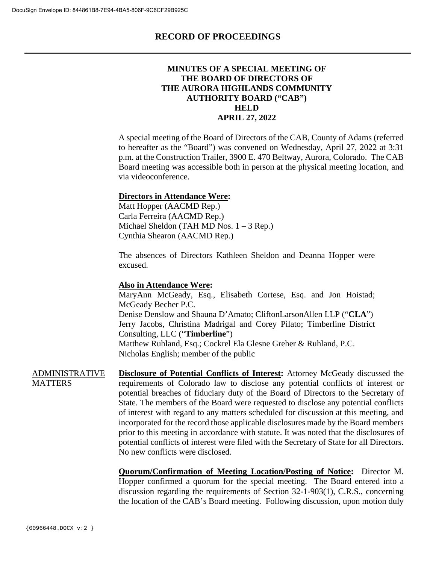#### **MINUTES OF A SPECIAL MEETING OF THE BOARD OF DIRECTORS OF THE AURORA HIGHLANDS COMMUNITY AUTHORITY BOARD ("CAB") HELD APRIL 27, 2022**

A special meeting of the Board of Directors of the CAB, County of Adams (referred to hereafter as the "Board") was convened on Wednesday, April 27, 2022 at 3:31 p.m. at the Construction Trailer, 3900 E. 470 Beltway, Aurora, Colorado. The CAB Board meeting was accessible both in person at the physical meeting location, and via videoconference.

#### **Directors in Attendance Were:**

Matt Hopper (AACMD Rep.) Carla Ferreira (AACMD Rep.) Michael Sheldon (TAH MD Nos. 1 – 3 Rep.) Cynthia Shearon (AACMD Rep.)

The absences of Directors Kathleen Sheldon and Deanna Hopper were excused.

#### **Also in Attendance Were:**

MaryAnn McGeady, Esq., Elisabeth Cortese, Esq. and Jon Hoistad; McGeady Becher P.C. Denise Denslow and Shauna D'Amato; CliftonLarsonAllen LLP ("**CLA**") Jerry Jacobs, Christina Madrigal and Corey Pilato; Timberline District Consulting, LLC ("**Timberline**") Matthew Ruhland, Esq.; Cockrel Ela Glesne Greher & Ruhland, P.C. Nicholas English; member of the public

ADMINISTRATIVE MATTERS **Disclosure of Potential Conflicts of Interest:** Attorney McGeady discussed the requirements of Colorado law to disclose any potential conflicts of interest or potential breaches of fiduciary duty of the Board of Directors to the Secretary of State. The members of the Board were requested to disclose any potential conflicts of interest with regard to any matters scheduled for discussion at this meeting, and incorporated for the record those applicable disclosures made by the Board members prior to this meeting in accordance with statute. It was noted that the disclosures of potential conflicts of interest were filed with the Secretary of State for all Directors. No new conflicts were disclosed.

> **Quorum/Confirmation of Meeting Location/Posting of Notice:** Director M. Hopper confirmed a quorum for the special meeting. The Board entered into a discussion regarding the requirements of Section 32-1-903(1), C.R.S., concerning the location of the CAB's Board meeting. Following discussion, upon motion duly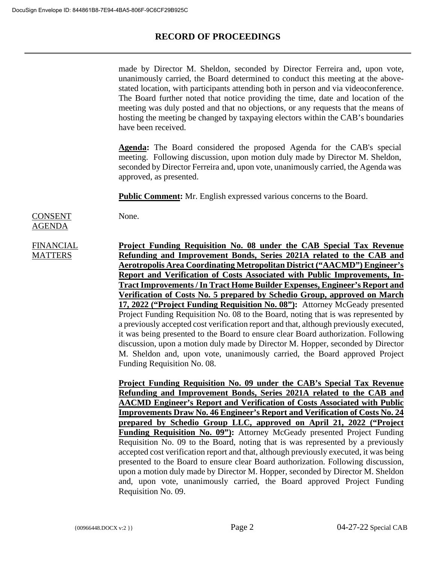made by Director M. Sheldon, seconded by Director Ferreira and, upon vote, unanimously carried, the Board determined to conduct this meeting at the abovestated location, with participants attending both in person and via videoconference. The Board further noted that notice providing the time, date and location of the meeting was duly posted and that no objections, or any requests that the means of hosting the meeting be changed by taxpaying electors within the CAB's boundaries have been received.

**Agenda:** The Board considered the proposed Agenda for the CAB's special meeting. Following discussion, upon motion duly made by Director M. Sheldon, seconded by Director Ferreira and, upon vote, unanimously carried, the Agenda was approved, as presented.

**Public Comment:** Mr. English expressed various concerns to the Board.

CONSENT

None.

## **FINANCIAL MATTERS**

AGENDA

**Project Funding Requisition No. 08 under the CAB Special Tax Revenue Refunding and Improvement Bonds, Series 2021A related to the CAB and Aerotropolis Area Coordinating Metropolitan District ("AACMD") Engineer's Report and Verification of Costs Associated with Public Improvements, In-Tract Improvements / In Tract Home Builder Expenses, Engineer's Report and Verification of Costs No. 5 prepared by Schedio Group, approved on March 17, 2022 ("Project Funding Requisition No. 08"):** Attorney McGeady presented Project Funding Requisition No. 08 to the Board, noting that is was represented by a previously accepted cost verification report and that, although previously executed, it was being presented to the Board to ensure clear Board authorization. Following discussion, upon a motion duly made by Director M. Hopper, seconded by Director M. Sheldon and, upon vote, unanimously carried, the Board approved Project Funding Requisition No. 08.

**Project Funding Requisition No. 09 under the CAB's Special Tax Revenue Refunding and Improvement Bonds, Series 2021A related to the CAB and AACMD Engineer's Report and Verification of Costs Associated with Public Improvements Draw No. 46 Engineer's Report and Verification of Costs No. 24 prepared by Schedio Group LLC, approved on April 21, 2022 ("Project Funding Requisition No. 09"):** Attorney McGeady presented Project Funding Requisition No. 09 to the Board, noting that is was represented by a previously accepted cost verification report and that, although previously executed, it was being presented to the Board to ensure clear Board authorization. Following discussion, upon a motion duly made by Director M. Hopper, seconded by Director M. Sheldon and, upon vote, unanimously carried, the Board approved Project Funding Requisition No. 09.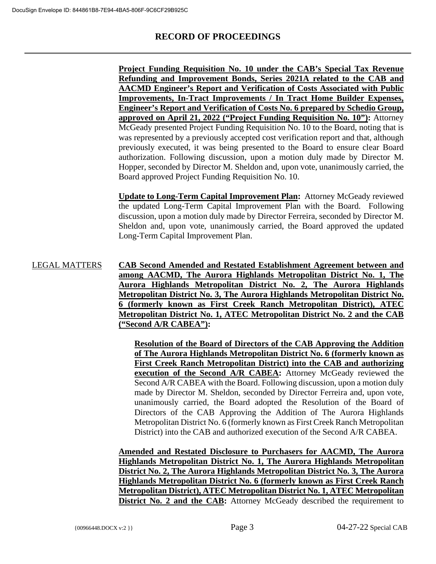**Project Funding Requisition No. 10 under the CAB's Special Tax Revenue Refunding and Improvement Bonds, Series 2021A related to the CAB and AACMD Engineer's Report and Verification of Costs Associated with Public Improvements, In-Tract Improvements / In Tract Home Builder Expenses, Engineer's Report and Verification of Costs No. 6 prepared by Schedio Group, approved on April 21, 2022 ("Project Funding Requisition No. 10"):** Attorney McGeady presented Project Funding Requisition No. 10 to the Board, noting that is was represented by a previously accepted cost verification report and that, although previously executed, it was being presented to the Board to ensure clear Board authorization. Following discussion, upon a motion duly made by Director M. Hopper, seconded by Director M. Sheldon and, upon vote, unanimously carried, the Board approved Project Funding Requisition No. 10.

**Update to Long-Term Capital Improvement Plan:** Attorney McGeady reviewed the updated Long-Term Capital Improvement Plan with the Board. Following discussion, upon a motion duly made by Director Ferreira, seconded by Director M. Sheldon and, upon vote, unanimously carried, the Board approved the updated Long-Term Capital Improvement Plan.

LEGAL MATTERS **CAB Second Amended and Restated Establishment Agreement between and among AACMD, The Aurora Highlands Metropolitan District No. 1, The Aurora Highlands Metropolitan District No. 2, The Aurora Highlands Metropolitan District No. 3, The Aurora Highlands Metropolitan District No. 6 (formerly known as First Creek Ranch Metropolitan District), ATEC Metropolitan District No. 1, ATEC Metropolitan District No. 2 and the CAB ("Second A/R CABEA"):** 

> **Resolution of the Board of Directors of the CAB Approving the Addition of The Aurora Highlands Metropolitan District No. 6 (formerly known as First Creek Ranch Metropolitan District) into the CAB and authorizing execution of the Second A/R CABEA:** Attorney McGeady reviewed the Second A/R CABEA with the Board. Following discussion, upon a motion duly made by Director M. Sheldon, seconded by Director Ferreira and, upon vote, unanimously carried, the Board adopted the Resolution of the Board of Directors of the CAB Approving the Addition of The Aurora Highlands Metropolitan District No. 6 (formerly known as First Creek Ranch Metropolitan District) into the CAB and authorized execution of the Second A/R CABEA.

**Amended and Restated Disclosure to Purchasers for AACMD, The Aurora Highlands Metropolitan District No. 1, The Aurora Highlands Metropolitan District No. 2, The Aurora Highlands Metropolitan District No. 3, The Aurora Highlands Metropolitan District No. 6 (formerly known as First Creek Ranch Metropolitan District), ATEC Metropolitan District No. 1, ATEC Metropolitan District No. 2 and the CAB:** Attorney McGeady described the requirement to